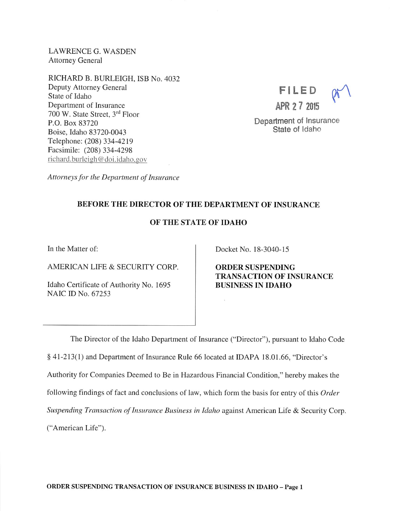LAWRENCE G. WASDEN Attorney General

RICHARD B. BURLEIGH, ISB No. 4032 Deputy Attorney General State of Idaho Department of Insurance 700 W. State Street, 3<sup>rd</sup> Floor P.O. Box 83720 Boise, Idaho 83720-0043 Telephone; (208) 334-4219 Facsimile: (208) 334-4298 richard.burleigh@doi.idaho.gov



Department of Insurance State of Idaho

Attorneys for the Department of Insurance

## BEFORE THE DIRECTOR OF THE DEPARTMENT OF INSURANCE

## OF THE STATE OF IDAHO

In the Matter of:

AMERICAN LIFE & SECURITY CORP.

Idaho Certificate of Authority No. 1695 NAIC ID No. 67253

Docket No. 18-3040-15

ORDER SUSPENDING TRANSACTION OF INSURANCE BUSINESS IN IDAHO

The Director of the Idaho Department of Insurance ("Director"), pursuant to Idaho Code § 41-213(1) and Department of Insurance Rule 66 located at IDAPA 18.01.66, "Director's Authority for Companies Deemed to Be in Hazardous Financial Condition," hereby makes the following findings of fact and conclusions of law, which form the basis for entry of this Order Suspending Transaction of Insurance Business in Idaho against American Life & Security Corp. ("American Life").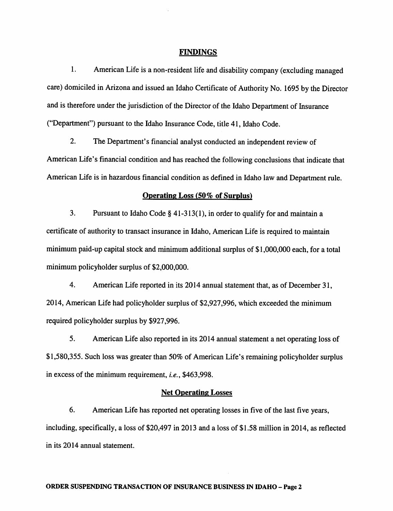#### FINDINGS

1. American Life is a non-resident life and disability company (excluding managed care) domiciled in Arizona and issued an Idaho Certificate of Authority No. 1695 by the Director and is therefore under the jurisdiction of the Director of the Idaho Department of Insurance ("Department") pursuant to the Idaho Insurance Code, title 41, Idaho Code.

2. The Department's financial analyst conducted an independent review of American Life's financial condition and has reached the following conclusions that indicate that American Life is in hazardous financial condition as defined in Idaho law and Department rule.

#### Operating Loss (50% of Surplus)

3. Pursuant to Idaho Code § 41-313(1), in order to qualify for and maintain a certificate of authority to transact insurance in Idaho, American Life is required to maintain minimum paid-up capital stock and minimum additional surplus of \$1,000,000 each, for a total minimum policyholder surplus of \$2,000,000.

4. American Life reported in its 2014 annual statement that, as of December 31, 2014, American Life had policyholder surplus of \$2,927,996, which exceeded the minimum required policyholder surplus by \$927,996.

5. American Life also reported in its 2014 annual statement a net operating loss of \$1,580,355. Such loss was greater than 50% of American Life's remaining policyholder surplus in excess of the minimum requirement, i.e., \$463,998.

### Net Operating Losses

6. American Life has reported net operating losses in five of the last five years, including, specifically, a loss of \$20,497 in 2013 and a loss of \$1.58 million in 2014, as reflected in its 2014 annual statement.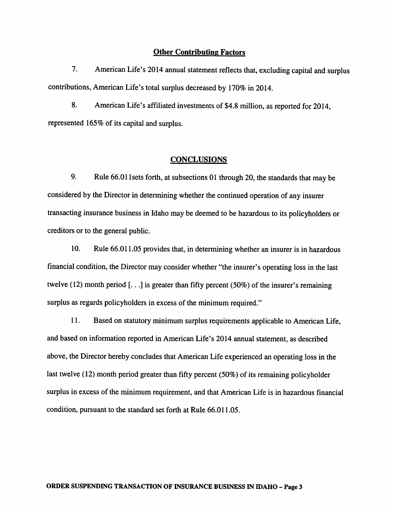#### **Other Contributing Factors**

7. American Life's 2014 annual statement reflects that, excluding capital and surplus contributions, American Life's total surplus decreased by 170% in 2014.

8. American Life's affiliated investments of \$4.8 million, as reported for 2014, represented 165% of its capital and surplus.

#### **CONCLUSIONS**

9. Rule 66.01 1 sets forth, at subsections 01 through 20, the standards that may be considered by the Director in determining whether the continued operation of any insurer transacting insurance business in Idaho maybe deemed to be hazardous to its policyholders or creditors or to the general public.

10. Rule 66.011.05 provides that, in determining whether an insurer is in hazardous financial condition, the Director may consider whether "the insurer's operating loss in the last twelve (12) month period  $[...]$  is greater than fifty percent (50%) of the insurer's remaining surplus as regards policyholders in excess of the minimum required."

11. Based on statutory minimum surplus requirements applicable to American Life, and based on information reported in American Life's 2014 annual statement, as described above, the Director hereby concludes that American Life experienced an operating loss in the last twelve  $(12)$  month period greater than fifty percent  $(50\%)$  of its remaining policyholder surplus in excess of the minimum requirement, and that American Life is in hazardous financial condition, pursuant to the standard set forth at Rule 66.011.05.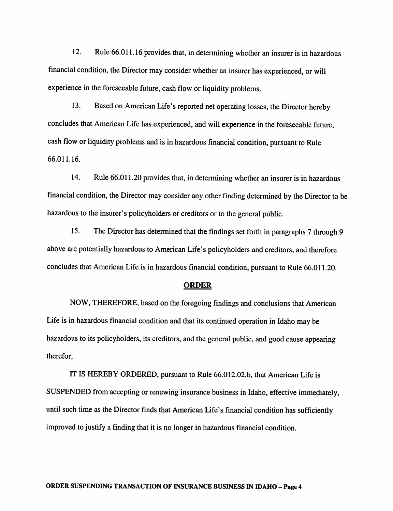12. Rule 66.011.16 provides that, in determining whether an insurer is in hazardous financial condition, the Director may consider whether an insurer has experienced, or will experience in the foreseeable future, cash flow or liquidity problems.

13. Based on American Life's reported net operating losses, the Director hereby concludes that American Life has experienced, and will experience in the foreseeable future, cash flow or liquidity problems and is in hazardous financial condition, pursuant to Rule 66.011.16.

14. Rule 66.011.20 provides that, in determiningwhether an insurer is in hazardous financial condition, the Director may consider any other finding determined by the Director to be hazardous to the insurer's policyholders or creditors or to the general public.

15. The Director has determined that the findings set forth in paragraphs 7 through 9 above are potentially hazardous to American Life's policyholders and creditors, and therefore concludes that American Life is in hazardous financial condition, pursuant to Rule 66.011.20.

#### ORDER

NOW, THEREFORE, based on the foregoing findings and conclusions that American Life is in hazardous financial condition and that its continued operation in Idaho maybe hazardous to its policyholders, its creditors, and the general public, and good cause appearing therefor,

IT IS HEREBY ORDERED, pursuant to Rule 66.012.02.b, that American Life is SUSPENDED fromaccepting or renewing insurance business in Idaho, effective immediately, until such time as the Director finds that American Life's financial condition has sufficiently improved to justify a finding that it is no longer in hazardous financial condition.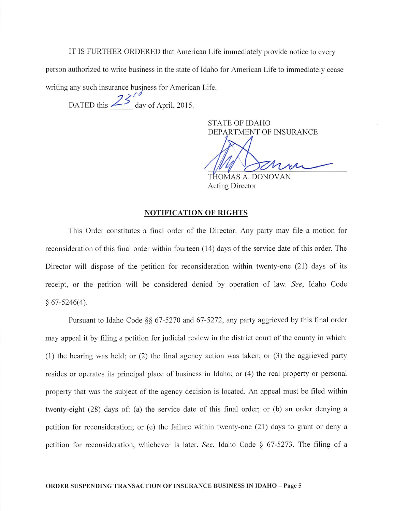IT IS FURTHER ORDERED that American Life immediately provide notice to every

person authorized to write business in the state of Idaho for American Life to immediately cease

writing any such insurance business for American Life.

DATED this  $25^{\circ}$  day of April, 2015.

STATE OF IDAHO DEPARTMENT OF INSURANCE

OMAS A. DONOVAN Acting Director

#### NOTIFICATION OF RIGHTS

This Order constitutes a final order of the Director. Any party may file a motion for reconsideration of this final order within fourteen (14) days of the service date of this order. The Director will dispose of the petition for reconsideration within twenty-one (21) days of its receipt, or the petition will be considered denied by operation of law. See, Idaho Code  $§ 67-5246(4).$ 

Pursuant to Idaho Code §§ 67-5270 and 67-5272, any party aggrieved by this final order may appeal it by filing a petition for judicial review in the district court of the county in which: (1) the hearing was held; or (2) the final agency action was taken; or (3) the aggrieved party resides or operates its principal place of business in Idaho; or (4) the real property or personal property that was the subject of the agency decision is located. An appeal must be filed within twenty-eight (28) days of: (a) the service date of this final order; or (b) an order denying a petition for reconsideration; or (c) the failure within twenty-one (21) days to grant or deny a petition for reconsideration, whichever is later. See, Idaho Code § 67-5273. The filing of a